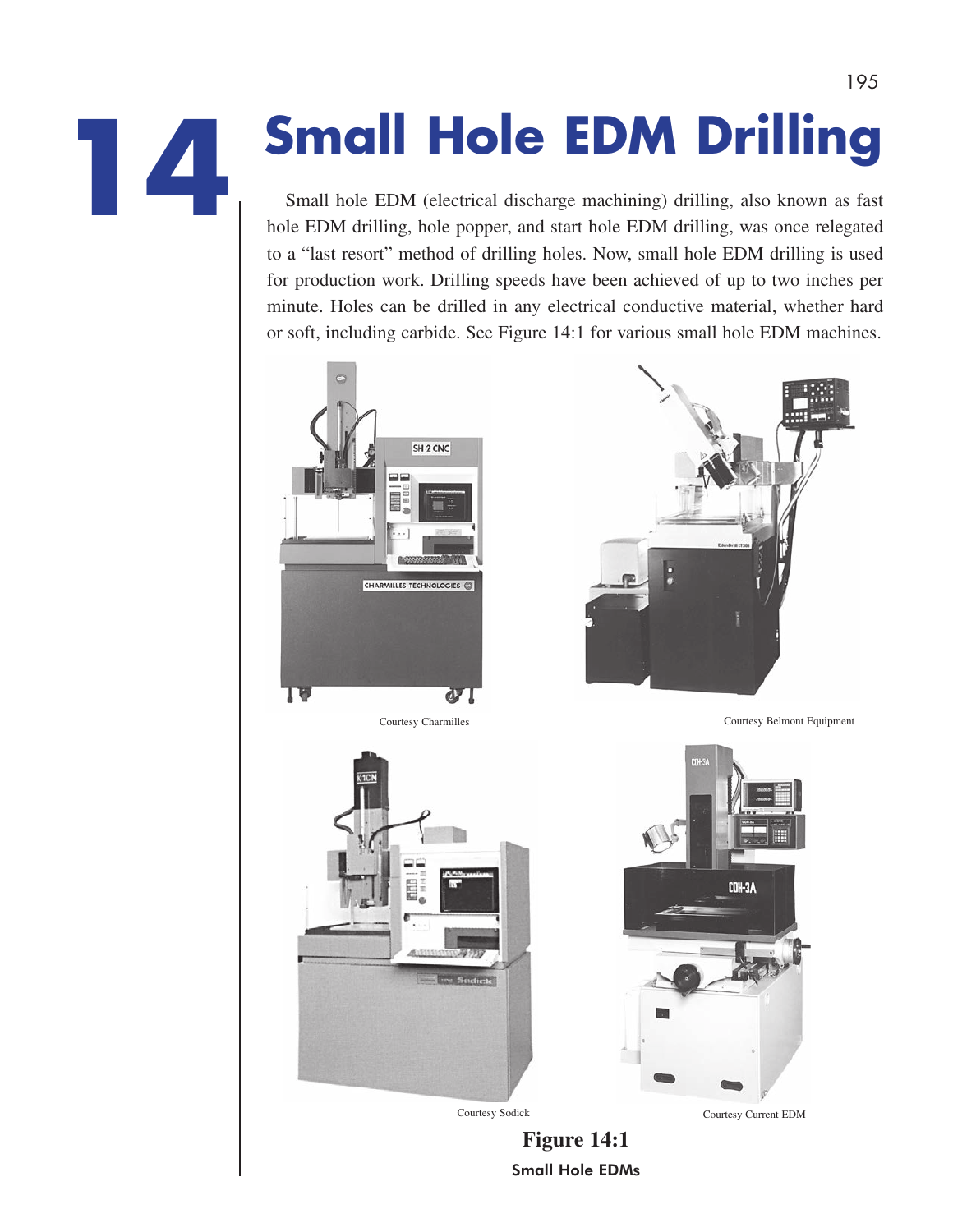# **Small Hole EDM Drilling**

Small hole EDM (electrical discharge machining) drilling, also known as fast hole EDM drilling, hole popper, and start hole EDM drilling, was once relegated to a "last resort" method of drilling holes. Now, small hole EDM drilling is used for production work. Drilling speeds have been achieved of up to two inches per minute. Holes can be drilled in any electrical conductive material, whether hard or soft, including carbide. See Figure 14:1 for various small hole EDM machines.





Courtesy Charmilles Courtesy Belmont Equipment



**Figure 14:1** Small Hole EDMs



Courtesy Sodick Courtesy Current EDM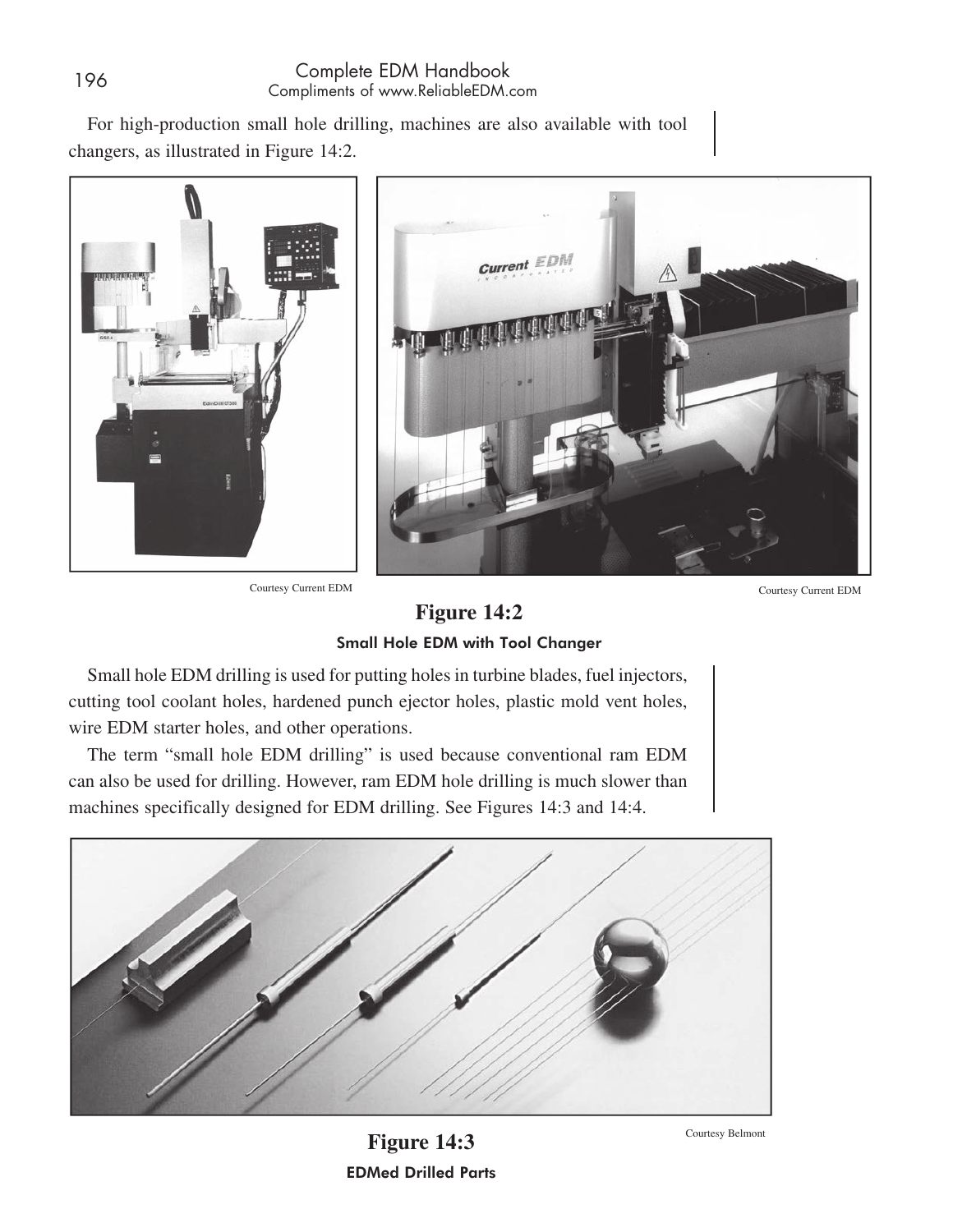For high-production small hole drilling, machines are also available with tool changers, as illustrated in Figure 14:2.







Small Hole EDM with Tool Changer

Small hole EDM drilling is used for putting holes in turbine blades, fuel injectors, cutting tool coolant holes, hardened punch ejector holes, plastic mold vent holes, wire EDM starter holes, and other operations.

The term "small hole EDM drilling" is used because conventional ram EDM can also be used for drilling. However, ram EDM hole drilling is much slower than machines specifically designed for EDM drilling. See Figures 14:3 and 14:4.



**Figure 14:3** EDMed Drilled Parts

Courtesy Belmont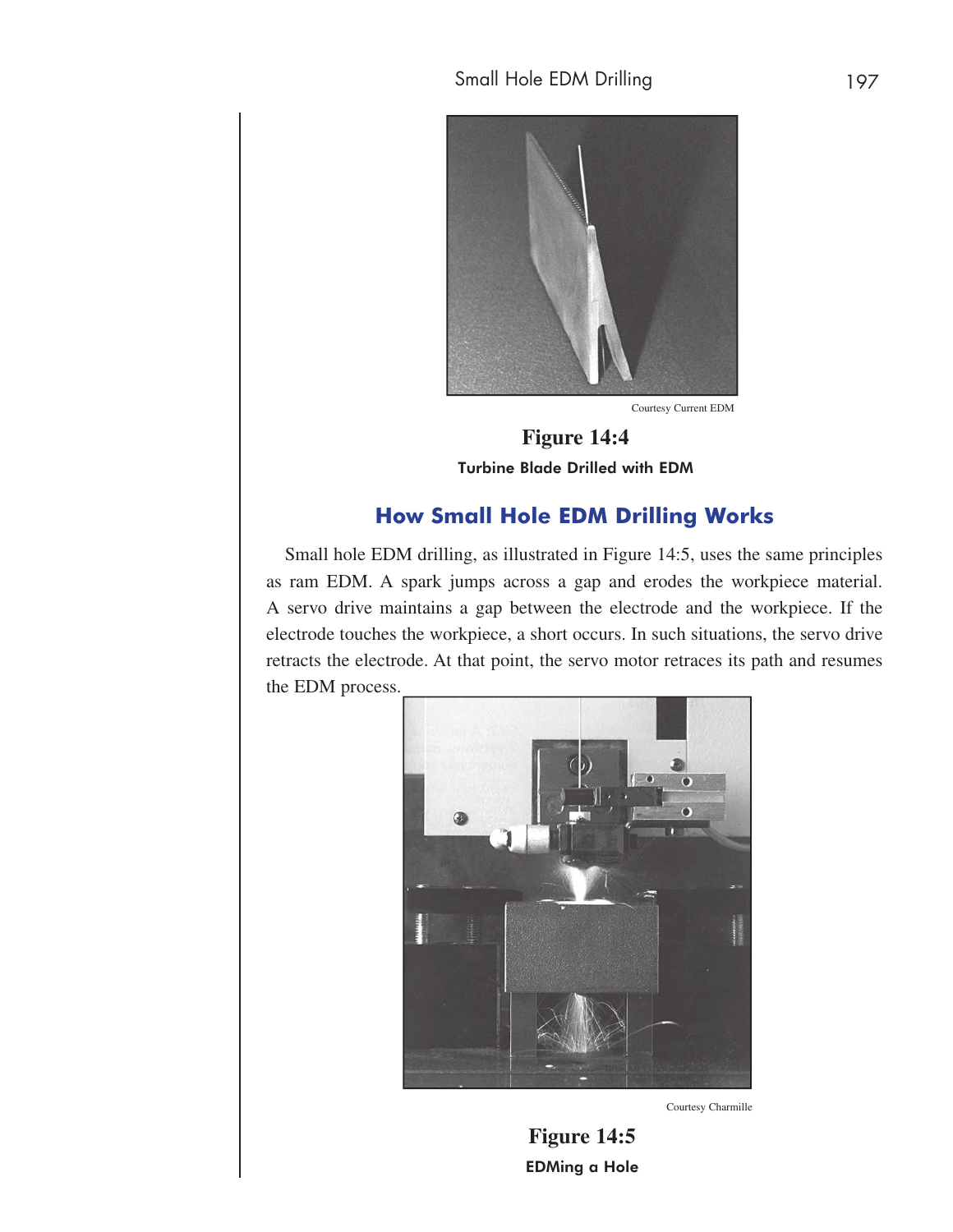

Courtesy Current EDM

**Figure 14:4** Turbine Blade Drilled with EDM

## **How Small Hole EDM Drilling Works**

Small hole EDM drilling, as illustrated in Figure 14:5, uses the same principles as ram EDM. A spark jumps across a gap and erodes the workpiece material. A servo drive maintains a gap between the electrode and the workpiece. If the electrode touches the workpiece, a short occurs. In such situations, the servo drive retracts the electrode. At that point, the servo motor retraces its path and resumes the EDM process.



Courtesy Charmille

**Figure 14:5** EDMing a Hole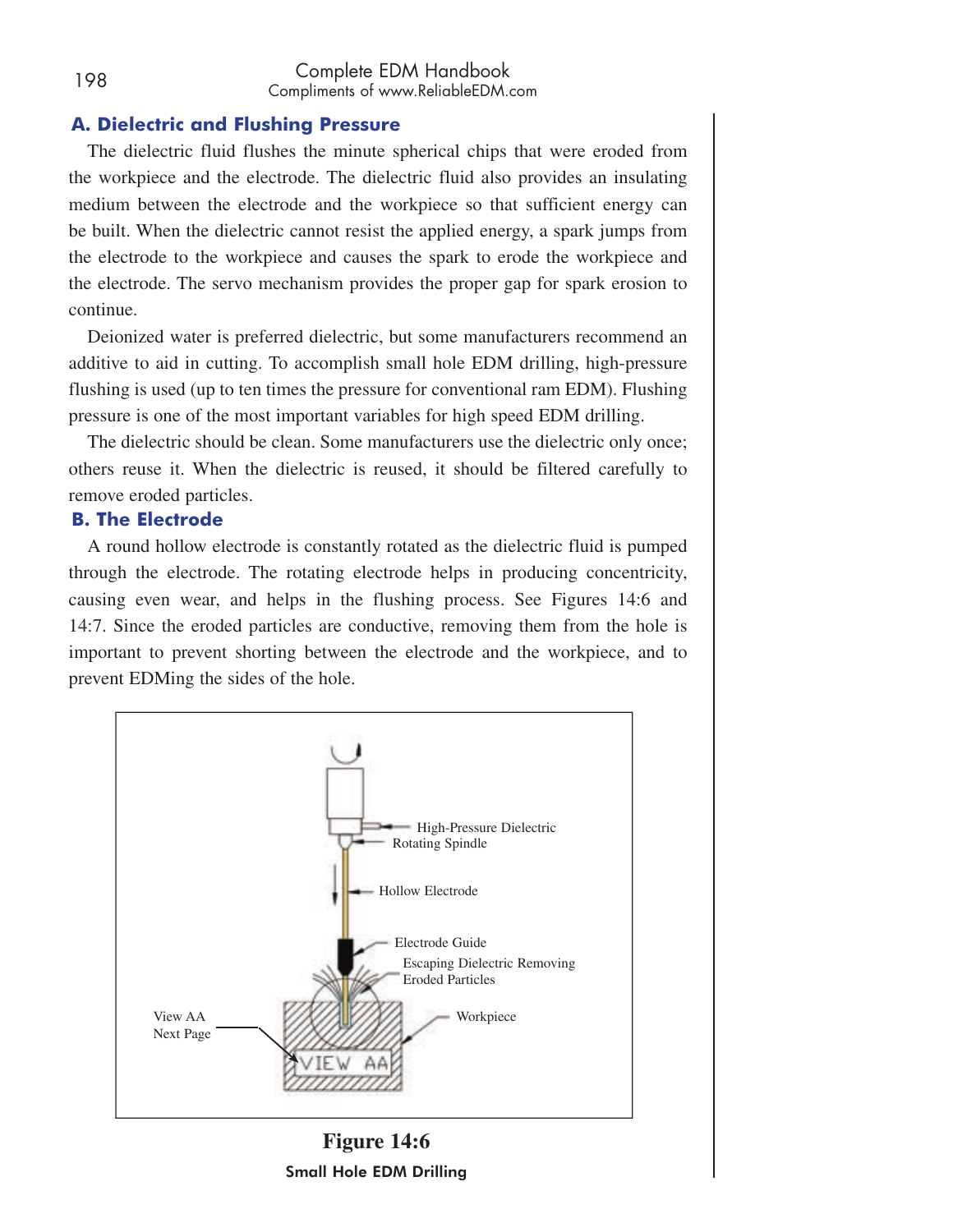## **A. Dielectric and Flushing Pressure**

The dielectric fluid flushes the minute spherical chips that were eroded from the workpiece and the electrode. The dielectric fluid also provides an insulating medium between the electrode and the workpiece so that sufficient energy can be built. When the dielectric cannot resist the applied energy, a spark jumps from the electrode to the workpiece and causes the spark to erode the workpiece and the electrode. The servo mechanism provides the proper gap for spark erosion to continue.

Deionized water is preferred dielectric, but some manufacturers recommend an additive to aid in cutting. To accomplish small hole EDM drilling, high-pressure flushing is used (up to ten times the pressure for conventional ram EDM). Flushing pressure is one of the most important variables for high speed EDM drilling.

The dielectric should be clean. Some manufacturers use the dielectric only once; others reuse it. When the dielectric is reused, it should be filtered carefully to remove eroded particles.

## **B. The Electrode**

A round hollow electrode is constantly rotated as the dielectric fluid is pumped through the electrode. The rotating electrode helps in producing concentricity, causing even wear, and helps in the flushing process. See Figures 14:6 and 14:7. Since the eroded particles are conductive, removing them from the hole is important to prevent shorting between the electrode and the workpiece, and to prevent EDMing the sides of the hole.



**Figure 14:6** Small Hole EDM Drilling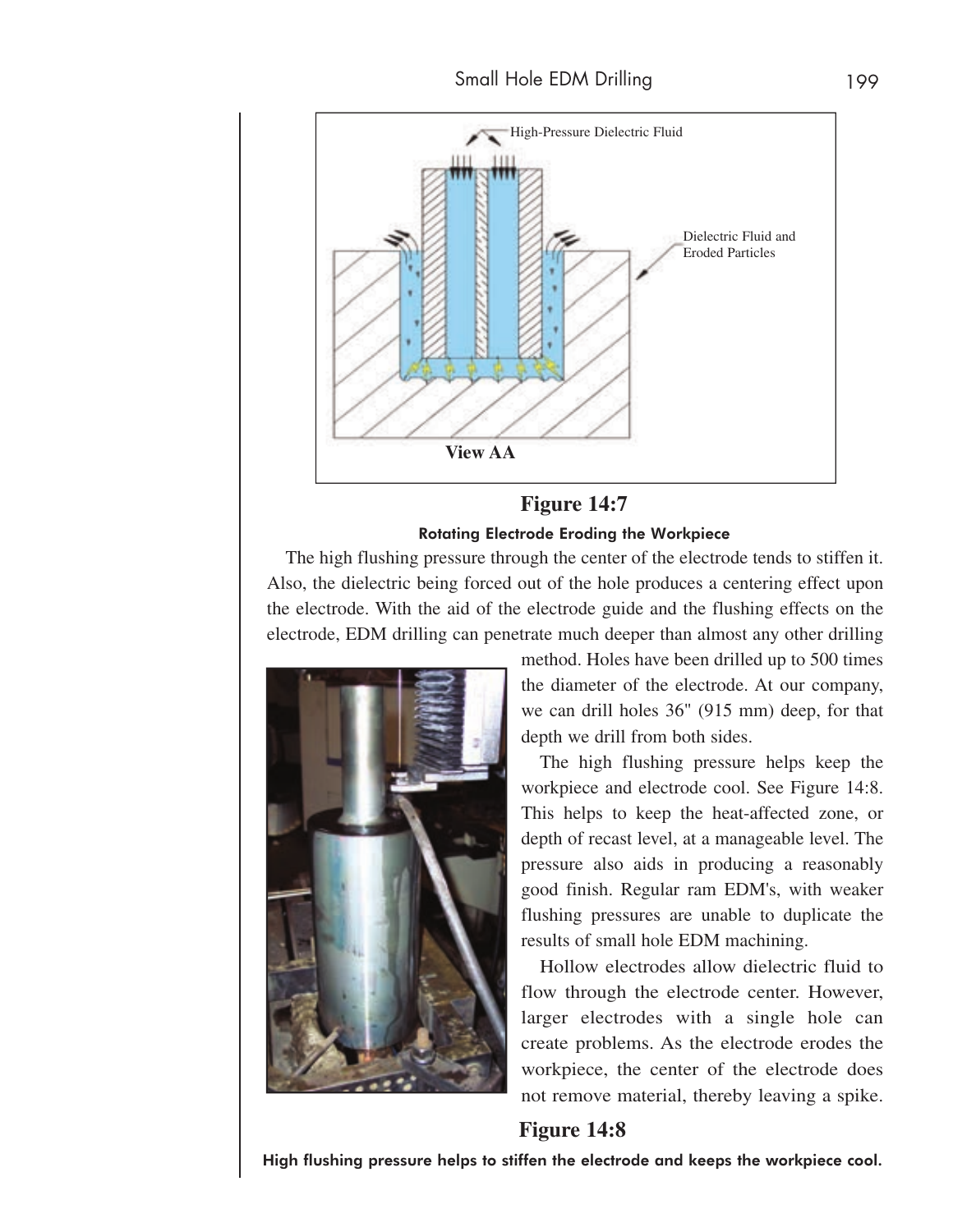

### **Figure 14:7**

#### Rotating Electrode Eroding the Workpiece

The high flushing pressure through the center of the electrode tends to stiffen it. Also, the dielectric being forced out of the hole produces a centering effect upon the electrode. With the aid of the electrode guide and the flushing effects on the electrode, EDM drilling can penetrate much deeper than almost any other drilling



method. Holes have been drilled up to 500 times the diameter of the electrode. At our company, we can drill holes 36" (915 mm) deep, for that depth we drill from both sides.

The high flushing pressure helps keep the workpiece and electrode cool. See Figure 14:8. This helps to keep the heat-affected zone, or depth of recast level, at a manageable level. The pressure also aids in producing a reasonably good finish. Regular ram EDM's, with weaker flushing pressures are unable to duplicate the results of small hole EDM machining.

Hollow electrodes allow dielectric fluid to flow through the electrode center. However, larger electrodes with a single hole can create problems. As the electrode erodes the workpiece, the center of the electrode does not remove material, thereby leaving a spike.

#### **Figure 14:8**

High flushing pressure helps to stiffen the electrode and keeps the workpiece cool.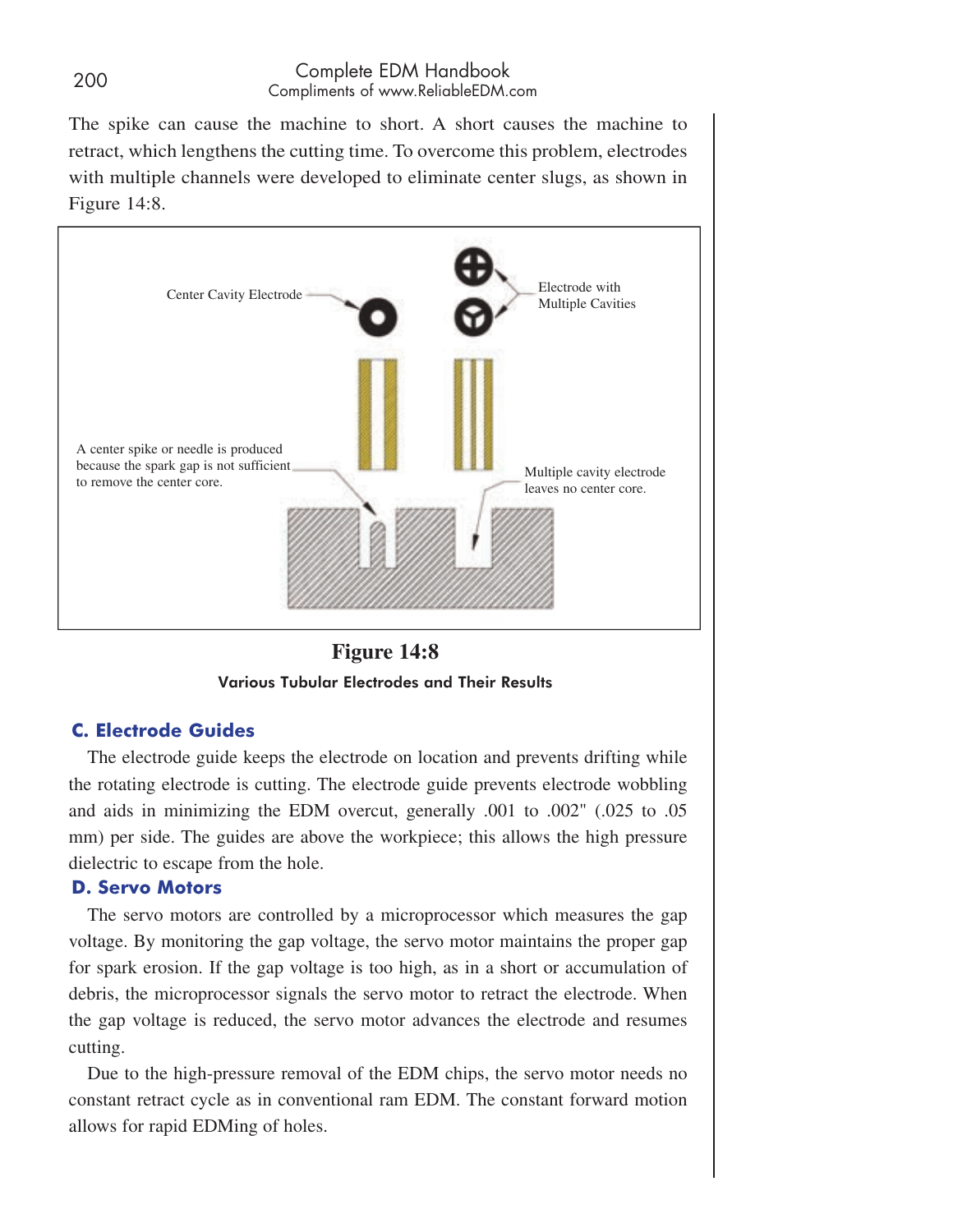The spike can cause the machine to short. A short causes the machine to retract, which lengthens the cutting time. To overcome this problem, electrodes with multiple channels were developed to eliminate center slugs, as shown in Figure 14:8.





## **C. Electrode Guides**

The electrode guide keeps the electrode on location and prevents drifting while the rotating electrode is cutting. The electrode guide prevents electrode wobbling and aids in minimizing the EDM overcut, generally .001 to .002" (.025 to .05 mm) per side. The guides are above the workpiece; this allows the high pressure dielectric to escape from the hole.

#### **D. Servo Motors**

The servo motors are controlled by a microprocessor which measures the gap voltage. By monitoring the gap voltage, the servo motor maintains the proper gap for spark erosion. If the gap voltage is too high, as in a short or accumulation of debris, the microprocessor signals the servo motor to retract the electrode. When the gap voltage is reduced, the servo motor advances the electrode and resumes cutting.

Due to the high-pressure removal of the EDM chips, the servo motor needs no constant retract cycle as in conventional ram EDM. The constant forward motion allows for rapid EDMing of holes.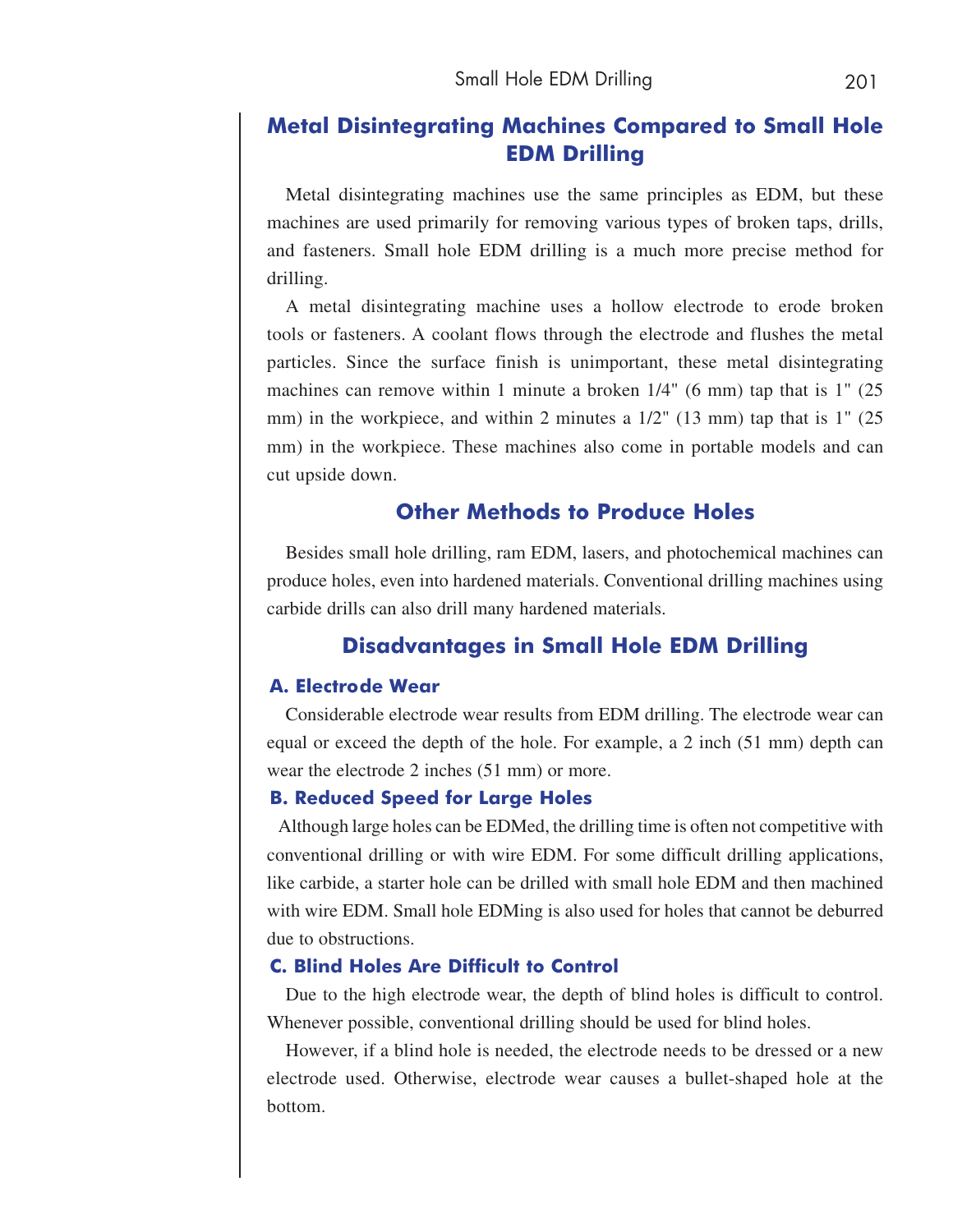## **Metal Disintegrating Machines Compared to Small Hole EDM Drilling**

Metal disintegrating machines use the same principles as EDM, but these machines are used primarily for removing various types of broken taps, drills, and fasteners. Small hole EDM drilling is a much more precise method for drilling.

A metal disintegrating machine uses a hollow electrode to erode broken tools or fasteners. A coolant flows through the electrode and flushes the metal particles. Since the surface finish is unimportant, these metal disintegrating machines can remove within 1 minute a broken  $1/4$ " (6 mm) tap that is 1" (25) mm) in the workpiece, and within 2 minutes a  $1/2$ " (13 mm) tap that is 1" (25) mm) in the workpiece. These machines also come in portable models and can cut upside down.

## **Other Methods to Produce Holes**

Besides small hole drilling, ram EDM, lasers, and photochemical machines can produce holes, even into hardened materials. Conventional drilling machines using carbide drills can also drill many hardened materials.

## **Disadvantages in Small Hole EDM Drilling**

#### **A. Electrode Wear**

Considerable electrode wear results from EDM drilling. The electrode wear can equal or exceed the depth of the hole. For example, a 2 inch (51 mm) depth can wear the electrode 2 inches (51 mm) or more.

#### **B. Reduced Speed for Large Holes**

Although large holes can be EDMed, the drilling time is often not competitive with conventional drilling or with wire EDM. For some difficult drilling applications, like carbide, a starter hole can be drilled with small hole EDM and then machined with wire EDM. Small hole EDMing is also used for holes that cannot be deburred due to obstructions.

#### **C. Blind Holes Are Difficult to Control**

Due to the high electrode wear, the depth of blind holes is difficult to control. Whenever possible, conventional drilling should be used for blind holes.

However, if a blind hole is needed, the electrode needs to be dressed or a new electrode used. Otherwise, electrode wear causes a bullet-shaped hole at the bottom.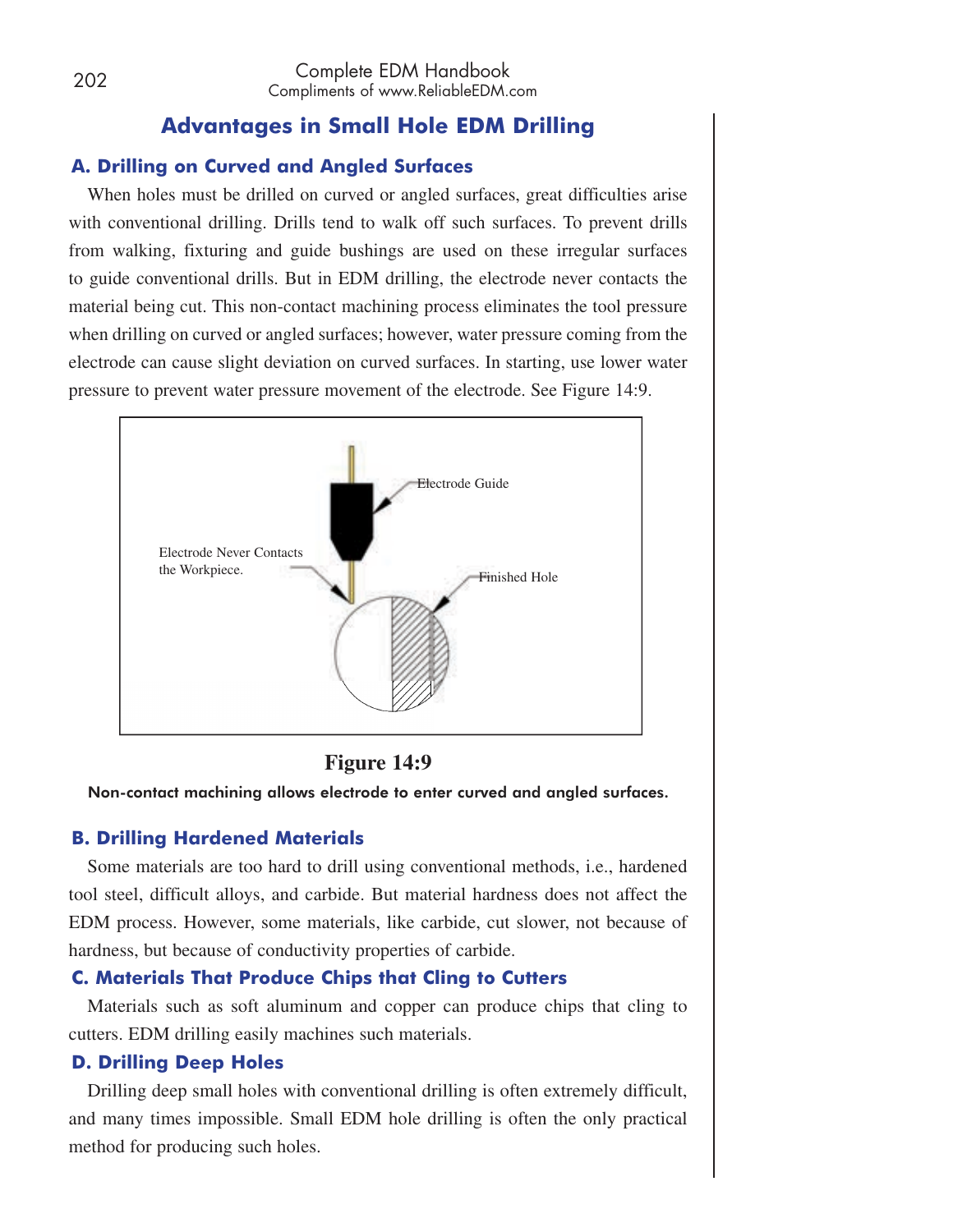## **Advantages in Small Hole EDM Drilling**

## **A. Drilling on Curved and Angled Surfaces**

When holes must be drilled on curved or angled surfaces, great difficulties arise with conventional drilling. Drills tend to walk off such surfaces. To prevent drills from walking, fixturing and guide bushings are used on these irregular surfaces to guide conventional drills. But in EDM drilling, the electrode never contacts the material being cut. This non-contact machining process eliminates the tool pressure when drilling on curved or angled surfaces; however, water pressure coming from the electrode can cause slight deviation on curved surfaces. In starting, use lower water pressure to prevent water pressure movement of the electrode. See Figure 14:9.



## **Figure 14:9**

Non-contact machining allows electrode to enter curved and angled surfaces.

## **B. Drilling Hardened Materials**

Some materials are too hard to drill using conventional methods, i.e., hardened tool steel, difficult alloys, and carbide. But material hardness does not affect the EDM process. However, some materials, like carbide, cut slower, not because of hardness, but because of conductivity properties of carbide.

## **C. Materials That Produce Chips that Cling to Cutters**

Materials such as soft aluminum and copper can produce chips that cling to cutters. EDM drilling easily machines such materials.

## **D. Drilling Deep Holes**

Drilling deep small holes with conventional drilling is often extremely difficult, and many times impossible. Small EDM hole drilling is often the only practical method for producing such holes.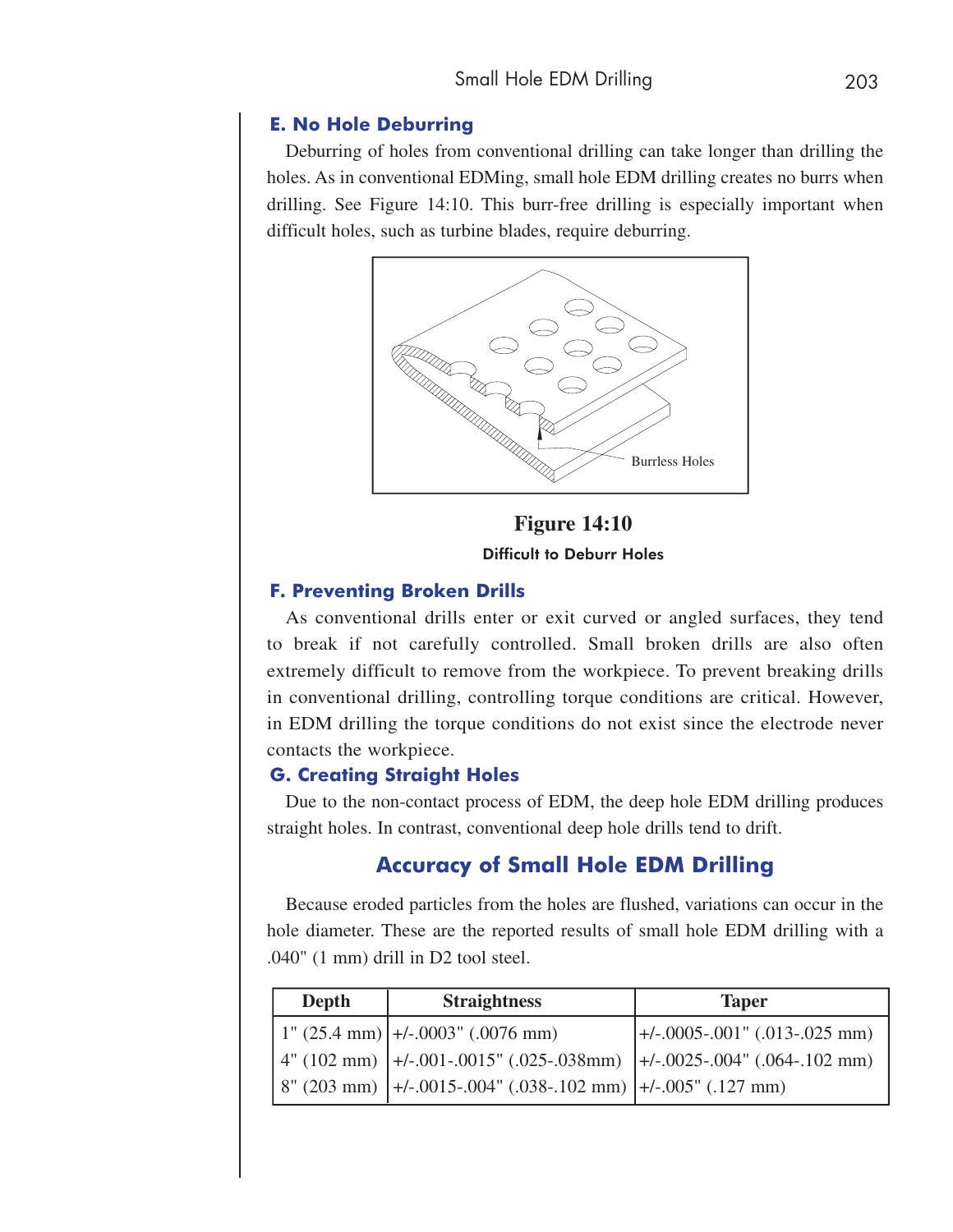#### **E. No Hole Deburring**

Deburring of holes from conventional drilling can take longer than drilling the holes. As in conventional EDMing, small hole EDM drilling creates no burrs when drilling. See Figure 14:10. This burr-free drilling is especially important when difficult holes, such as turbine blades, require deburring.



**Figure 14:10** Difficult to Deburr Holes

#### **F. Preventing Broken Drills**

As conventional drills enter or exit curved or angled surfaces, they tend to break if not carefully controlled. Small broken drills are also often extremely difficult to remove from the workpiece. To prevent breaking drills in conventional drilling, controlling torque conditions are critical. However, in EDM drilling the torque conditions do not exist since the electrode never contacts the workpiece.

#### **G. Creating Straight Holes**

Due to the non-contact process of EDM, the deep hole EDM drilling produces straight holes. In contrast, conventional deep hole drills tend to drift.

## **Accuracy of Small Hole EDM Drilling**

Because eroded particles from the holes are flushed, variations can occur in the hole diameter. These are the reported results of small hole EDM drilling with a .040" (1 mm) drill in D2 tool steel.

| <b>Depth</b> | <b>Straightness</b>                                                           | <b>Taper</b>                                     |
|--------------|-------------------------------------------------------------------------------|--------------------------------------------------|
|              | $\left(1\right)$ (25.4 mm) $\left +\right/$ -.0003" (.0076 mm)                | $\left  +/0.0005 - 0.001 \right $ (.013-.025 mm) |
|              | $(102 \text{ mm})$ +/-.001-.0015" (.025-.038mm) +/-.0025-.004" (.064-.102 mm) |                                                  |
|              | $8" (203 mm)$ +/-.0015-.004" (.038-.102 mm) +/-.005" (.127 mm)                |                                                  |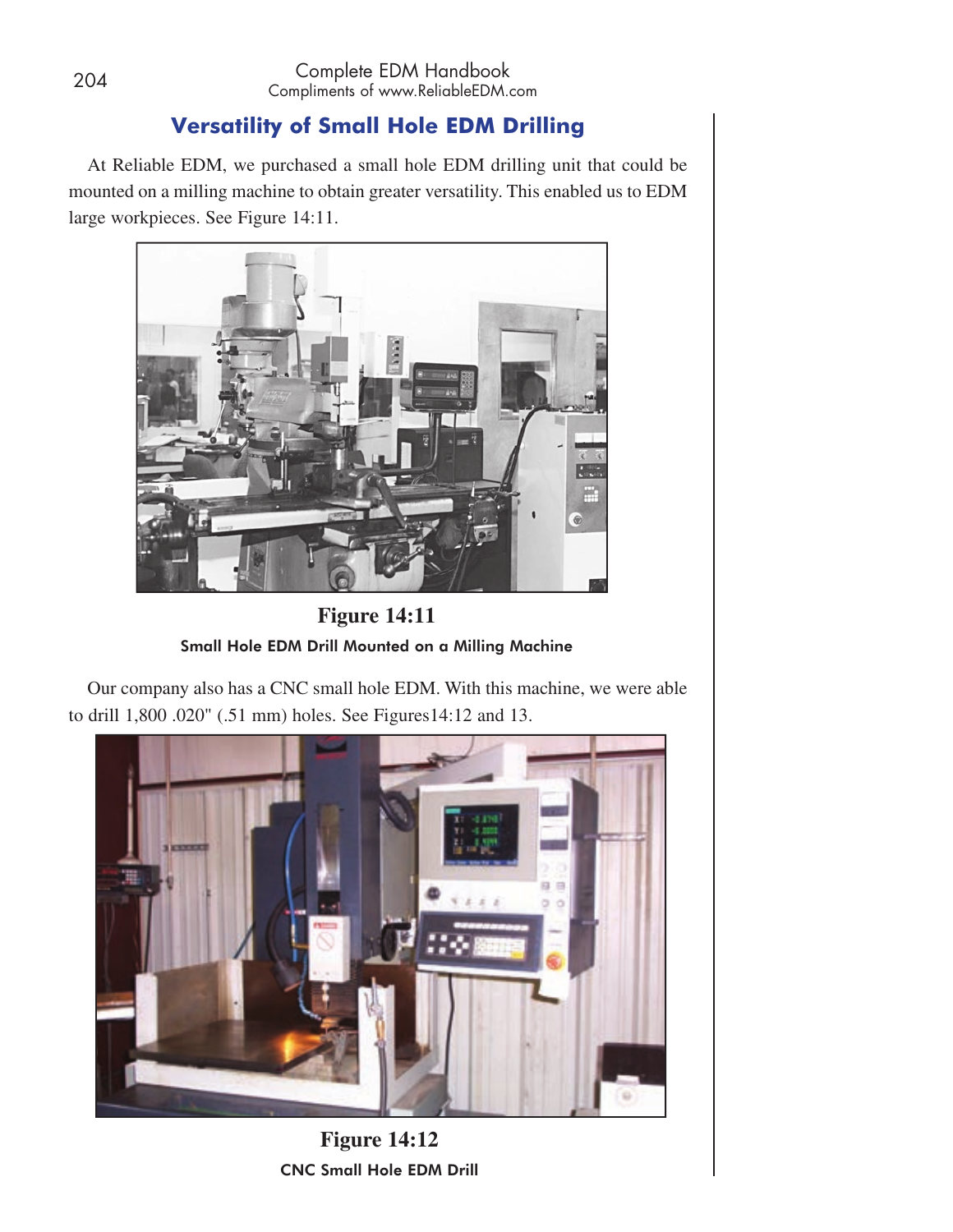# **Versatility of Small Hole EDM Drilling**

At Reliable EDM, we purchased a small hole EDM drilling unit that could be mounted on a milling machine to obtain greater versatility. This enabled us to EDM large workpieces. See Figure 14:11.



**Figure 14:11** Small Hole EDM Drill Mounted on a Milling Machine

Our company also has a CNC small hole EDM. With this machine, we were able to drill 1,800 .020" (.51 mm) holes. See Figures14:12 and 13.



**Figure 14:12** CNC Small Hole EDM Drill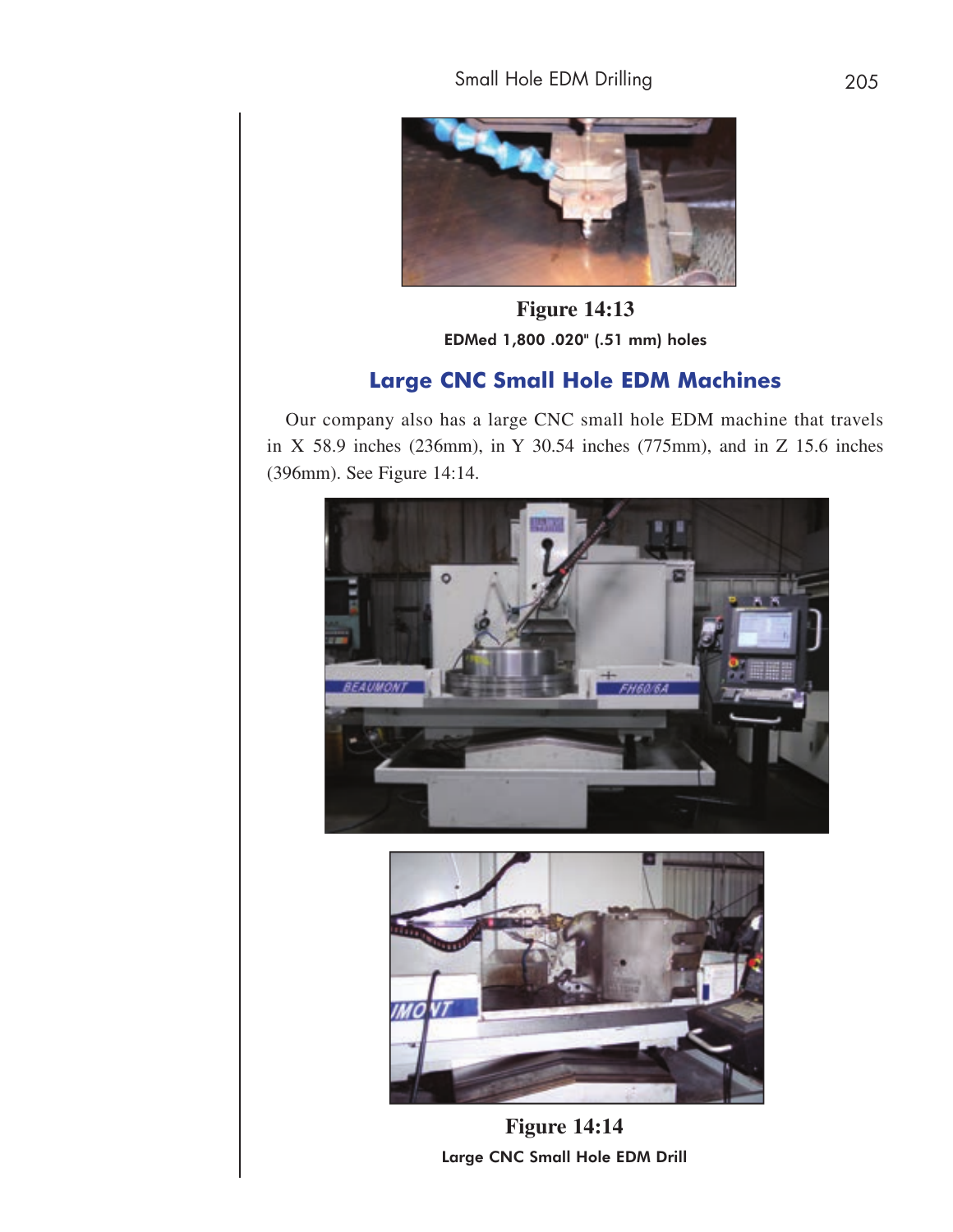

**Figure 14:13** EDMed 1,800 .020" (.51 mm) holes

## **Large CNC Small Hole EDM Machines**

Our company also has a large CNC small hole EDM machine that travels in X 58.9 inches (236mm), in Y 30.54 inches (775mm), and in Z 15.6 inches (396mm). See Figure 14:14.





**Figure 14:14** Large CNC Small Hole EDM Drill